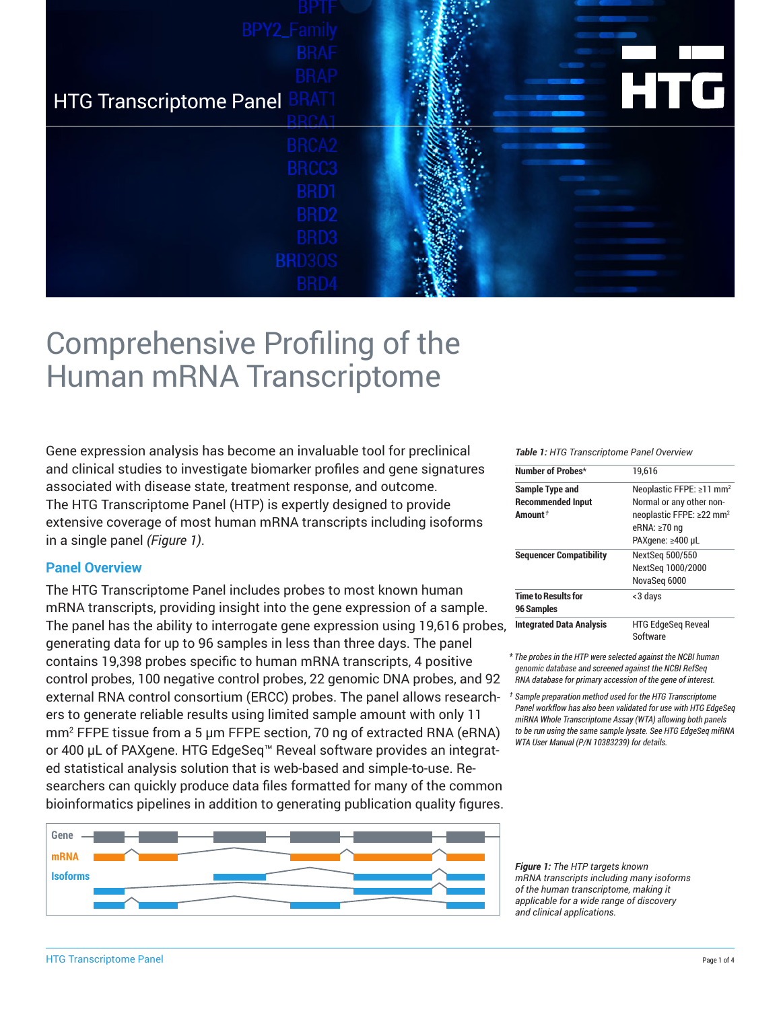| <b>BPY2_Family</b>                   |                                        |
|--------------------------------------|----------------------------------------|
| <b>BRAF</b>                          |                                        |
| <b>BRAP</b>                          |                                        |
| <b>HTG Transcriptome Panel BRAT1</b> | l Gi<br>$\blacksquare$<br>$\mathsf{L}$ |
| BRCA <sub>2</sub>                    |                                        |
| BRCC3                                |                                        |
| BRD1                                 |                                        |
| BRD <sub>2</sub>                     |                                        |
| BRD3                                 |                                        |
| <b>BRD30S</b>                        |                                        |
| BRD4                                 |                                        |

# Comprehensive Profiling of the Human mRNA Transcriptome

Gene expression analysis has become an invaluable tool for preclinical and clinical studies to investigate biomarker profiles and gene signatures associated with disease state, treatment response, and outcome. The HTG Transcriptome Panel (HTP) is expertly designed to provide extensive coverage of most human mRNA transcripts including isoforms in a single panel *(Figure 1)*.

## **Panel Overview**

The HTG Transcriptome Panel includes probes to most known human mRNA transcripts, providing insight into the gene expression of a sample. The panel has the ability to interrogate gene expression using 19,616 probes, generating data for up to 96 samples in less than three days. The panel contains 19,398 probes specific to human mRNA transcripts, 4 positive control probes, 100 negative control probes, 22 genomic DNA probes, and 92 external RNA control consortium (ERCC) probes. The panel allows research-*† Sample preparation method used for the HTG Transcriptome*  ers to generate reliable results using limited sample amount with only 11 mm<sup>2</sup> FFPE tissue from a 5 µm FFPE section, 70 ng of extracted RNA (eRNA) or 400 µL of PAXgene. HTG EdgeSeq™ Reveal software provides an integrated statistical analysis solution that is web-based and simple-to-use. Researchers can quickly produce data files formatted for many of the common bioinformatics pipelines in addition to generating publication quality figures.



#### *Table 1: HTG Transcriptome Panel Overview*

| Number of Probes*               | 19.616                               |
|---------------------------------|--------------------------------------|
| Sample Type and                 | Neoplastic FFPE: ≥11 mm <sup>2</sup> |
| <b>Recommended Input</b>        | Normal or any other non-             |
| Amount <sup>+</sup>             | neoplastic FFPE: ≥22 mm <sup>2</sup> |
|                                 | eRNA: $\geq 70$ ng                   |
|                                 | PAXgene: ≥400 µL                     |
| <b>Sequencer Compatibility</b>  | NextSeg 500/550                      |
|                                 | NextSeg 1000/2000                    |
|                                 | NovaSeg 6000                         |
| <b>Time to Results for</b>      | <3 days                              |
| 96 Samples                      |                                      |
| <b>Integrated Data Analysis</b> | <b>HTG EdgeSeg Reveal</b>            |
|                                 | Software                             |

\* *The probes in the HTP were selected against the NCBI human genomic database and screened against the NCBI RefSeq RNA database for primary accession of the gene of interest.*

*Panel workflow has also been validated for use with HTG EdgeSeq miRNA Whole Transcriptome Assay (WTA) allowing both panels to be run using the same sample lysate. See HTG EdgeSeq miRNA WTA User Manual (P/N 10383239) for details.*

*Figure 1: The HTP targets known mRNA transcripts including many isoforms of the human transcriptome, making it applicable for a wide range of discovery and clinical applications.*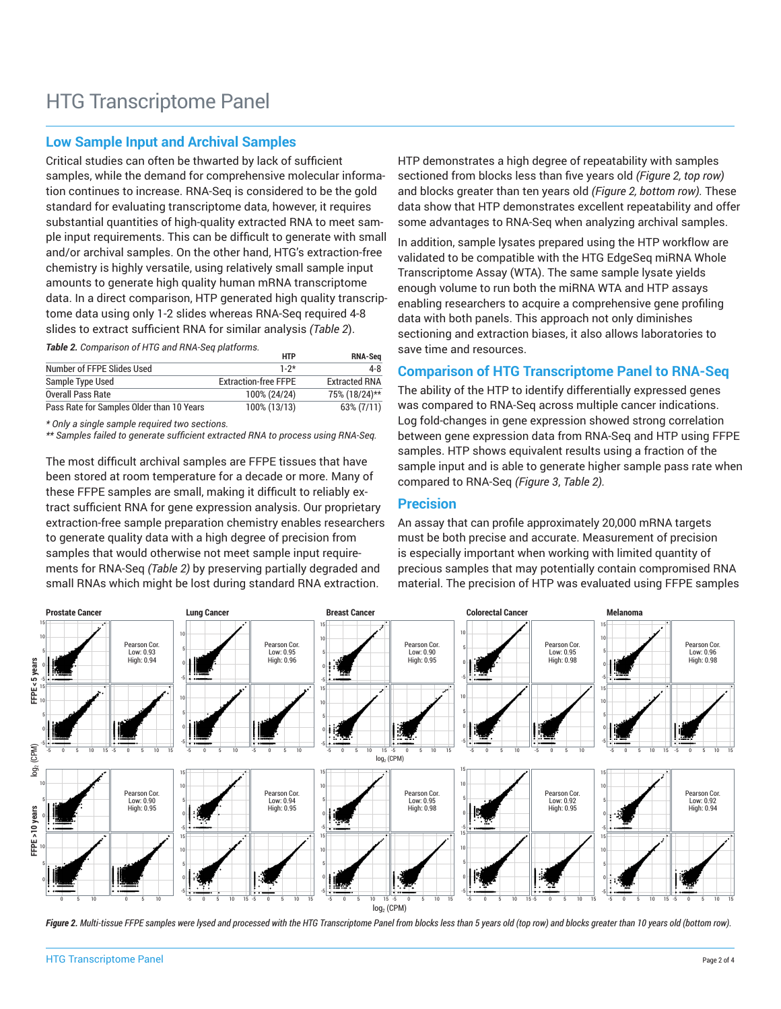# **Low Sample Input and Archival Samples**

Critical studies can often be thwarted by lack of sufficient samples, while the demand for comprehensive molecular information continues to increase. RNA-Seq is considered to be the gold standard for evaluating transcriptome data, however, it requires substantial quantities of high-quality extracted RNA to meet sample input requirements. This can be difficult to generate with small and/or archival samples. On the other hand, HTG's extraction-free chemistry is highly versatile, using relatively small sample input amounts to generate high quality human mRNA transcriptome data. In a direct comparison, HTP generated high quality transcriptome data using only 1-2 slides whereas RNA-Seq required 4-8 slides to extract sufficient RNA for similar analysis *(Table 2*).

*Table 2. Comparison of HTG and RNA-Seq platforms.*

|                                           | <b>HTP</b>                  | <b>RNA-Sea</b>       |
|-------------------------------------------|-----------------------------|----------------------|
| Number of FFPE Slides Used                | $1 - 2*$                    | 4-8                  |
| Sample Type Used                          | <b>Extraction-free FFPE</b> | <b>Extracted RNA</b> |
| <b>Overall Pass Rate</b>                  | 100% (24/24)                | 75% (18/24)**        |
| Pass Rate for Samples Older than 10 Years | 100% (13/13)                | 63% (7/11)           |

*\* Only a single sample required two sections.*

*\*\* Samples failed to generate sufficient extracted RNA to process using RNA-Seq.*

The most difficult archival samples are FFPE tissues that have been stored at room temperature for a decade or more. Many of these FFPE samples are small, making it difficult to reliably extract sufficient RNA for gene expression analysis. Our proprietary extraction-free sample preparation chemistry enables researchers to generate quality data with a high degree of precision from samples that would otherwise not meet sample input requirements for RNA-Seq *(Table 2)* by preserving partially degraded and small RNAs which might be lost during standard RNA extraction.

HTP demonstrates a high degree of repeatability with samples sectioned from blocks less than five years old *(Figure 2, top row)* and blocks greater than ten years old *(Figure 2, bottom row).* These data show that HTP demonstrates excellent repeatability and offer some advantages to RNA-Seq when analyzing archival samples.

In addition, sample lysates prepared using the HTP workflow are validated to be compatible with the HTG EdgeSeq miRNA Whole Transcriptome Assay (WTA). The same sample lysate yields enough volume to run both the miRNA WTA and HTP assays enabling researchers to acquire a comprehensive gene profiling data with both panels. This approach not only diminishes sectioning and extraction biases, it also allows laboratories to save time and resources.

# **Comparison of HTG Transcriptome Panel to RNA-Seq**

The ability of the HTP to identify differentially expressed genes was compared to RNA-Seq across multiple cancer indications. Log fold-changes in gene expression showed strong correlation between gene expression data from RNA-Seq and HTP using FFPE samples. HTP shows equivalent results using a fraction of the sample input and is able to generate higher sample pass rate when compared to RNA-Seq *(Figure 3*, *Table 2).*

#### **Precision**

An assay that can profile approximately 20,000 mRNA targets must be both precise and accurate. Measurement of precision is especially important when working with limited quantity of precious samples that may potentially contain compromised RNA material. The precision of HTP was evaluated using FFPE samples



*Figure 2. Multi-tissue FFPE samples were lysed and processed with the HTG Transcriptome Panel from blocks less than 5 years old (top row) and blocks greater than 10 years old (bottom row).*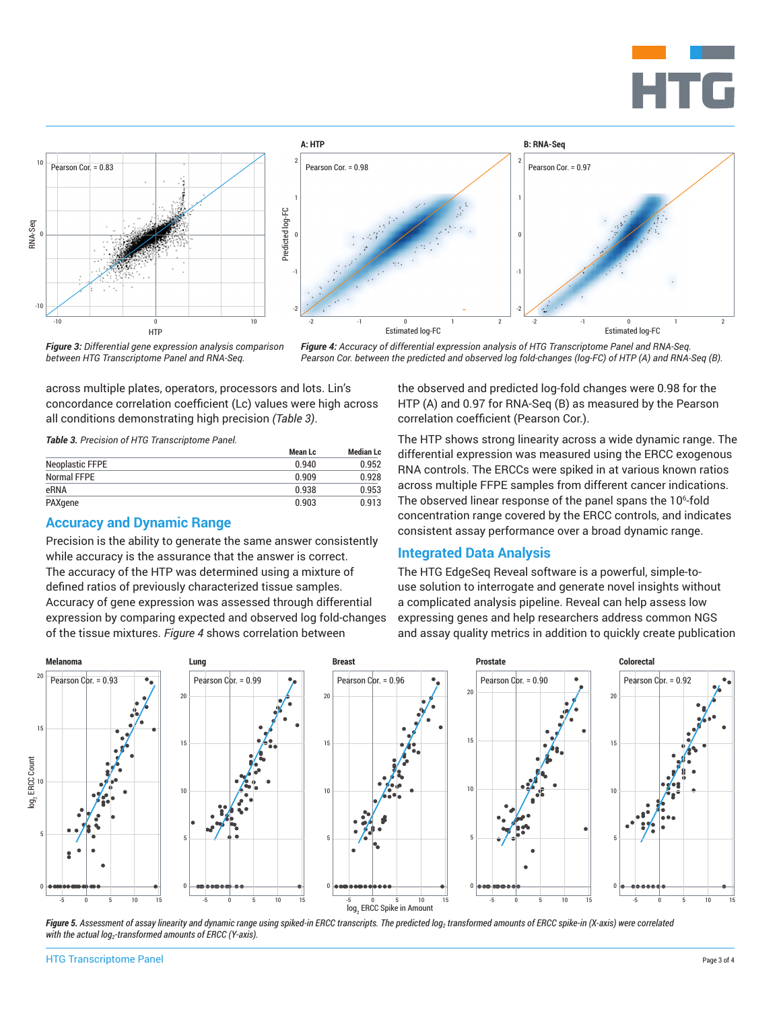





*Figure 3: Differential gene expression analysis comparison between HTG Transcriptome Panel and RNA-Seq.*

*Figure 4: Accuracy of differential expression analysis of HTG Transcriptome Panel and RNA-Seq. Pearson Cor. between the predicted and observed log fold-changes (log-FC) of HTP (A) and RNA-Seq (B).*

across multiple plates, operators, processors and lots. Lin's concordance correlation coefficient (Lc) values were high across all conditions demonstrating high precision *(Table 3)*.

*Table 3. Precision of HTG Transcriptome Panel.*

|                        | Mean Lc | <b>Median Lc</b> |
|------------------------|---------|------------------|
| <b>Neoplastic FFPE</b> | በ 940   | 0.952            |
| Normal FFPE            | 0.909   | 0.928            |
| eRNA                   | 0.938   | 0.953            |
| PAXgene                | 0.903   | 0.913            |

#### **Accuracy and Dynamic Range**

Precision is the ability to generate the same answer consistently while accuracy is the assurance that the answer is correct. The accuracy of the HTP was determined using a mixture of defined ratios of previously characterized tissue samples. Accuracy of gene expression was assessed through differential expression by comparing expected and observed log fold-changes of the tissue mixtures. *Figure 4* shows correlation between

the observed and predicted log-fold changes were 0.98 for the HTP (A) and 0.97 for RNA-Seq (B) as measured by the Pearson correlation coefficient (Pearson Cor.).

The HTP shows strong linearity across a wide dynamic range. The differential expression was measured using the ERCC exogenous RNA controls. The ERCCs were spiked in at various known ratios across multiple FFPE samples from different cancer indications. The observed linear response of the panel spans the 10 $\mathrm{^6}\text{-}$ fold concentration range covered by the ERCC controls, and indicates consistent assay performance over a broad dynamic range.

#### **Integrated Data Analysis**

The HTG EdgeSeq Reveal software is a powerful, simple-touse solution to interrogate and generate novel insights without a complicated analysis pipeline. Reveal can help assess low expressing genes and help researchers address common NGS and assay quality metrics in addition to quickly create publication



Figure 5. Assessment of assay linearity and dynamic range using spiked-in ERCC transcripts. The predicted log<sub>2</sub> transformed amounts of ERCC spike-in (X-axis) were correlated with the actual log<sub>2</sub>-transformed amounts of ERCC (Y-axis).